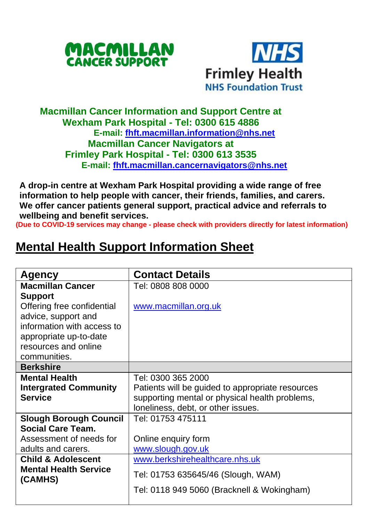



## **Macmillan Cancer Information and Support Centre at Wexham Park Hospital - Tel: 0300 615 4886 E-mail: [fhft.macmillan.information@nhs.net](mailto:fhft.macmillan.information@nhs.net) Macmillan Cancer Navigators at Frimley Park Hospital - Tel: 0300 613 3535 E-mail: [fhft.macmillan.cancernavigators@nhs.net](mailto:fhft.macmillan.cancernavigators@nhs.net)**

**A drop-in centre at Wexham Park Hospital providing a wide range of free information to help people with cancer, their friends, families, and carers. We offer cancer patients general support, practical advice and referrals to wellbeing and benefit services.**

**(Due to COVID-19 services may change - please check with providers directly for latest information)**

## **Mental Health Support Information Sheet**

| Agency                        | <b>Contact Details</b>                           |  |  |
|-------------------------------|--------------------------------------------------|--|--|
| <b>Macmillan Cancer</b>       | Tel: 0808 808 0000                               |  |  |
| <b>Support</b>                |                                                  |  |  |
| Offering free confidential    | www.macmillan.org.uk                             |  |  |
| advice, support and           |                                                  |  |  |
| information with access to    |                                                  |  |  |
| appropriate up-to-date        |                                                  |  |  |
| resources and online          |                                                  |  |  |
| communities.                  |                                                  |  |  |
| <b>Berkshire</b>              |                                                  |  |  |
| <b>Mental Health</b>          | Tel: 0300 365 2000                               |  |  |
| <b>Intergrated Community</b>  | Patients will be guided to appropriate resources |  |  |
| <b>Service</b>                | supporting mental or physical health problems,   |  |  |
|                               | loneliness, debt, or other issues.               |  |  |
| <b>Slough Borough Council</b> | Tel: 01753 475111                                |  |  |
| Social Care Team.             |                                                  |  |  |
| Assessment of needs for       | Online enquiry form                              |  |  |
| adults and carers.            | www.slough.gov.uk                                |  |  |
| <b>Child &amp; Adolescent</b> | www.berkshirehealthcare.nhs.uk                   |  |  |
| <b>Mental Health Service</b>  | Tel: 01753 635645/46 (Slough, WAM)               |  |  |
| (CAMHS)                       |                                                  |  |  |
|                               | Tel: 0118 949 5060 (Bracknell & Wokingham)       |  |  |
|                               |                                                  |  |  |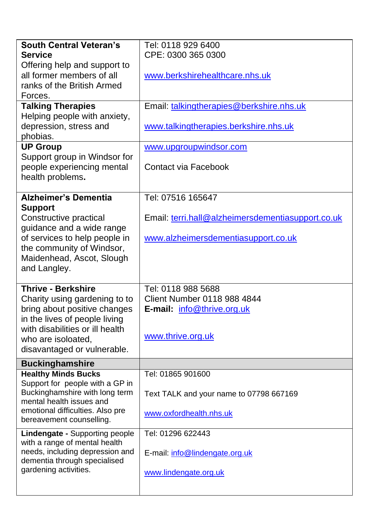| <b>South Central Veteran's</b>                                  | Tel: 0118 929 6400                                |  |  |
|-----------------------------------------------------------------|---------------------------------------------------|--|--|
| <b>Service</b>                                                  | CPE: 0300 365 0300                                |  |  |
| Offering help and support to                                    |                                                   |  |  |
| all former members of all                                       | www.berkshirehealthcare.nhs.uk                    |  |  |
| ranks of the British Armed                                      |                                                   |  |  |
| Forces.                                                         |                                                   |  |  |
| <b>Talking Therapies</b>                                        | Email: talkingtherapies@berkshire.nhs.uk          |  |  |
| Helping people with anxiety,                                    |                                                   |  |  |
| depression, stress and                                          | www.talkingtherapies.berkshire.nhs.uk             |  |  |
| phobias.                                                        |                                                   |  |  |
| <b>UP Group</b>                                                 | www.upgroupwindsor.com                            |  |  |
| Support group in Windsor for                                    |                                                   |  |  |
| people experiencing mental                                      | Contact via Facebook                              |  |  |
| health problems.                                                |                                                   |  |  |
|                                                                 |                                                   |  |  |
| <b>Alzheimer's Dementia</b>                                     | Tel: 07516 165647                                 |  |  |
| <b>Support</b>                                                  |                                                   |  |  |
| Constructive practical                                          | Email: terri.hall@alzheimersdementiasupport.co.uk |  |  |
| guidance and a wide range                                       |                                                   |  |  |
| of services to help people in<br>the community of Windsor,      | www.alzheimersdementiasupport.co.uk               |  |  |
| Maidenhead, Ascot, Slough                                       |                                                   |  |  |
| and Langley.                                                    |                                                   |  |  |
|                                                                 |                                                   |  |  |
| <b>Thrive - Berkshire</b>                                       | Tel: 0118 988 5688                                |  |  |
| Charity using gardening to to                                   | Client Number 0118 988 4844                       |  |  |
| bring about positive changes                                    | E-mail: info@thrive.org.uk                        |  |  |
| in the lives of people living                                   |                                                   |  |  |
| with disabilities or ill health                                 |                                                   |  |  |
| who are isoloated,                                              | www.thrive.org.uk                                 |  |  |
| disavantaged or vulnerable.                                     |                                                   |  |  |
| <b>Buckinghamshire</b>                                          |                                                   |  |  |
| <b>Healthy Minds Bucks</b>                                      | Tel: 01865 901600                                 |  |  |
| Support for people with a GP in                                 |                                                   |  |  |
| Buckinghamshire with long term                                  | Text TALK and your name to 07798 667169           |  |  |
| mental health issues and                                        |                                                   |  |  |
| emotional difficulties. Also pre                                | www.oxfordhealth.nhs.uk                           |  |  |
| bereavement counselling.                                        |                                                   |  |  |
| Lindengate - Supporting people                                  | Tel: 01296 622443                                 |  |  |
| with a range of mental health                                   |                                                   |  |  |
| needs, including depression and<br>dementia through specialised | E-mail: info@lindengate.org.uk                    |  |  |
| gardening activities.                                           |                                                   |  |  |
|                                                                 | www.lindengate.org.uk                             |  |  |
|                                                                 |                                                   |  |  |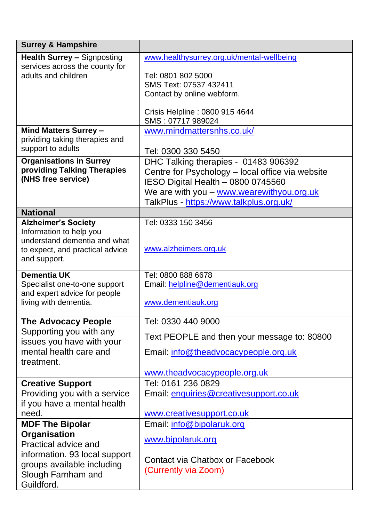| <b>Surrey &amp; Hampshire</b>                       |                                                                                          |
|-----------------------------------------------------|------------------------------------------------------------------------------------------|
| Health Surrey - Signposting                         | www.healthysurrey.org.uk/mental-wellbeing                                                |
| services across the county for                      |                                                                                          |
| adults and children                                 | Tel: 0801 802 5000                                                                       |
|                                                     | SMS Text: 07537 432411                                                                   |
|                                                     | Contact by online webform.                                                               |
|                                                     | Crisis Helpline: 0800 915 4644                                                           |
|                                                     | SMS: 07717 989024                                                                        |
| Mind Matters Surrey -                               | www.mindmattersnhs.co.uk/                                                                |
| prividing taking therapies and<br>support to adults |                                                                                          |
| <b>Organisations in Surrey</b>                      | Tel: 0300 330 5450                                                                       |
| providing Talking Therapies                         | DHC Talking therapies - 01483 906392<br>Centre for Psychology - local office via website |
| (NHS free service)                                  | IESO Digital Health - 0800 0745560                                                       |
|                                                     | We are with you - www.wearewithyou.org.uk                                                |
|                                                     | TalkPlus - https://www.talkplus.org.uk/                                                  |
| <b>National</b>                                     |                                                                                          |
| <b>Alzheimer's Society</b>                          | Tel: 0333 150 3456                                                                       |
| Information to help you                             |                                                                                          |
| understand dementia and what                        |                                                                                          |
| to expect, and practical advice                     | www.alzheimers.org.uk                                                                    |
| and support.                                        |                                                                                          |
| Dementia UK                                         | Tel: 0800 888 6678                                                                       |
| Specialist one-to-one support                       | Email: helpline@dementiauk.org                                                           |
| and expert advice for people                        |                                                                                          |
| living with dementia.                               | www.dementiauk.org                                                                       |
| <b>The Advocacy People</b>                          | Tel: 0330 440 9000                                                                       |
| Supporting you with any                             | Text PEOPLE and then your message to: 80800                                              |
| issues you have with your                           |                                                                                          |
| mental health care and                              | Email: info@theadvocacypeople.org.uk                                                     |
| treatment.                                          | www.theadvocacypeople.org.uk                                                             |
| <b>Creative Support</b>                             | Tel: 0161 236 0829                                                                       |
| Providing you with a service                        | Email: enquiries@creativesupport.co.uk                                                   |
| if you have a mental health                         |                                                                                          |
| need.                                               | www.creativesupport.co.uk                                                                |
| <b>MDF The Bipolar</b>                              | Email: info@bipolaruk.org                                                                |
| Organisation                                        |                                                                                          |
| Practical advice and                                | www.bipolaruk.org                                                                        |
| information. 93 local support                       |                                                                                          |
| groups available including                          | Contact via Chatbox or Facebook                                                          |
| Slough Farnham and                                  | (Currently via Zoom)                                                                     |
| Guildford.                                          |                                                                                          |